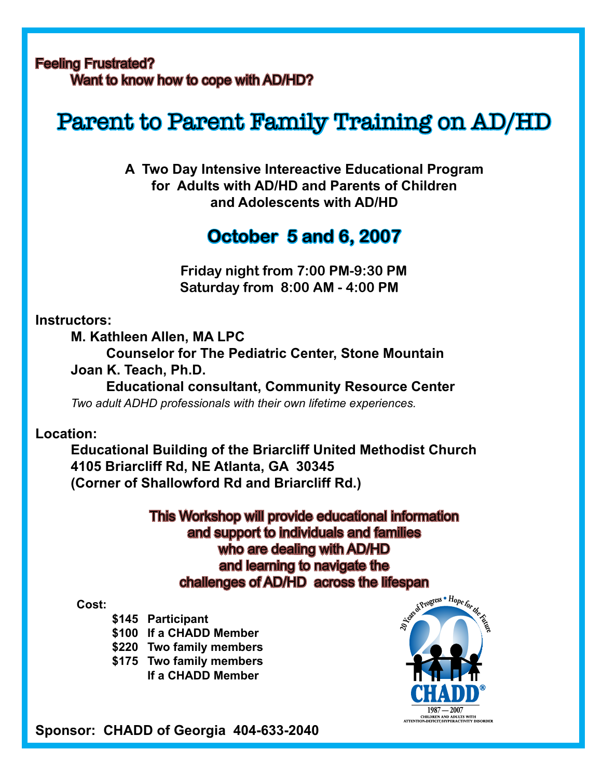### Feeling Frustrated? Want to know how to cope with AD/HD?

# Parent to Parent Family Training on AD/HD

**A Two Day Intensive Intereactive Educational Program for Adults with AD/HD and Parents of Children and Adolescents with AD/HD**

## **October 5 and 6, 2007**

 **Friday night from 7:00 PM-9:30 PM Saturday from 8:00 AM - 4:00 PM**

### **Instructors:**

**M. Kathleen Allen, MA LPC**

 **Counselor for The Pediatric Center, Stone Mountain**

**Joan K. Teach, Ph.D.**

 **Educational consultant, Community Resource Center** *Two adult ADHD professionals with their own lifetime experiences.*

**Location:**

**Educational Building of the Briarcliff United Methodist Church 4105 Briarcliff Rd, NE Atlanta, GA 30345 (Corner of Shallowford Rd and Briarcliff Rd.)**

> This Workshop will provide educational information and support to individuals and families who are dealing with AD/HD and learning to navigate the challenges of AD/HD across the lifespan

#### **Cost:**

- **\$145 Participant**
- **\$100 If a CHADD Member**
- **\$220 Two family members**
- **\$175 Two family members**
	- **If a CHADD Member**



**Sponsor: CHADD of Georgia 404-633-2040**